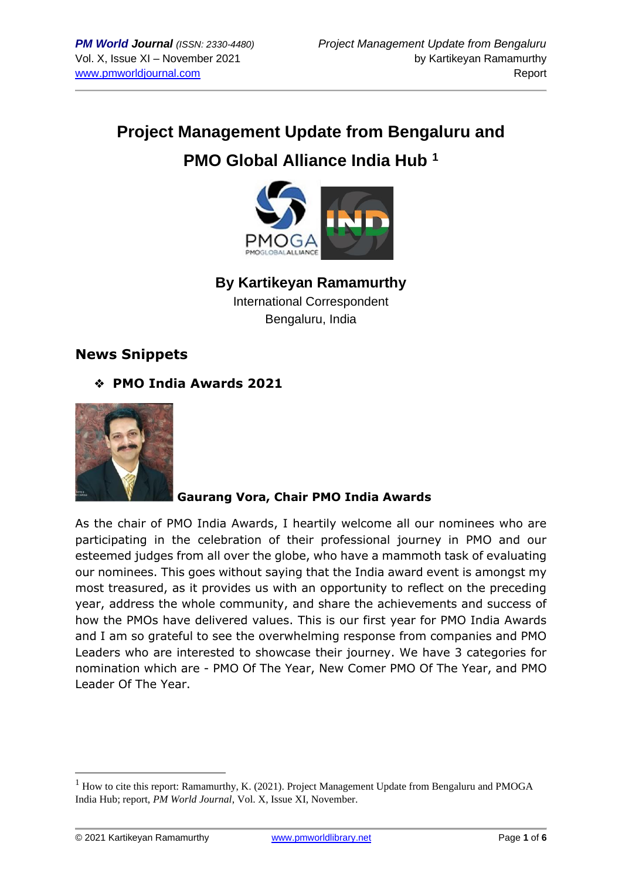# **Project Management Update from Bengaluru and PMO Global Alliance India Hub <sup>1</sup>**



## **By Kartikeyan Ramamurthy**

International Correspondent Bengaluru, India

## **News Snippets**

❖ **PMO India Awards 2021**



## **Gaurang Vora, Chair PMO India Awards**

As the chair of PMO India Awards, I heartily welcome all our nominees who are participating in the celebration of their professional journey in PMO and our esteemed judges from all over the globe, who have a mammoth task of evaluating our nominees. This goes without saying that the India award event is amongst my most treasured, as it provides us with an opportunity to reflect on the preceding year, address the whole community, and share the achievements and success of how the PMOs have delivered values. This is our first year for PMO India Awards and I am so grateful to see the overwhelming response from companies and PMO Leaders who are interested to showcase their journey. We have 3 categories for nomination which are - PMO Of The Year, New Comer PMO Of The Year, and PMO Leader Of The Year.

<sup>&</sup>lt;sup>1</sup> How to cite this report: Ramamurthy, K. (2021). Project Management Update from Bengaluru and PMOGA India Hub; report, *PM World Journal*, Vol. X, Issue XI, November.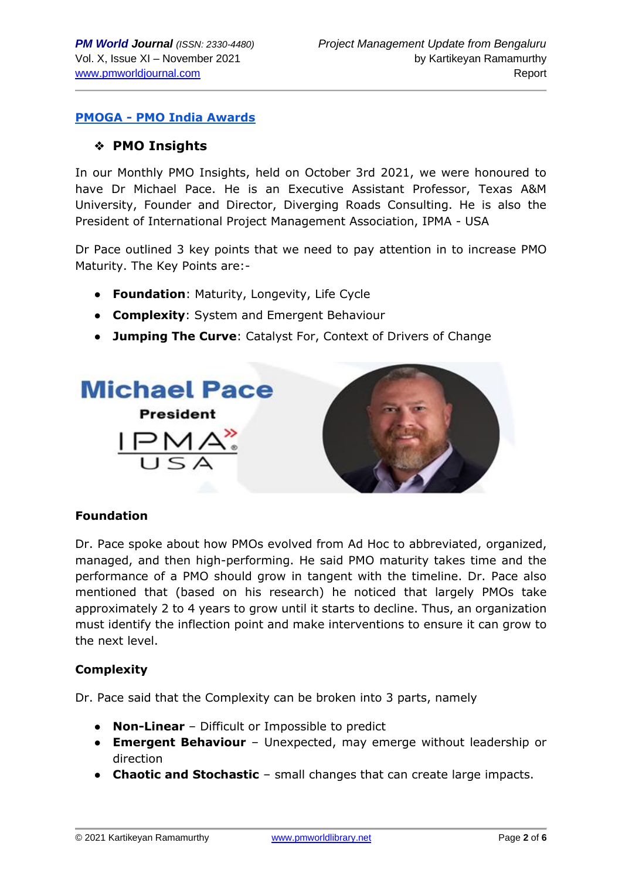#### **PMOGA - [PMO India Awards](https://www.pmoga.world/pmo-india-awards)**

#### ❖ **PMO Insights**

In our Monthly PMO Insights, held on October 3rd 2021, we were honoured to have Dr Michael Pace. He is an Executive Assistant Professor, Texas A&M University, Founder and Director, Diverging Roads Consulting. He is also the President of International Project Management Association, IPMA - USA

Dr Pace outlined 3 key points that we need to pay attention in to increase PMO Maturity. The Key Points are:-

- **Foundation**: Maturity, Longevity, Life Cycle
- **Complexity**: System and Emergent Behaviour
- **Jumping The Curve**: Catalyst For, Context of Drivers of Change



#### **Foundation**

Dr. Pace spoke about how PMOs evolved from Ad Hoc to abbreviated, organized, managed, and then high-performing. He said PMO maturity takes time and the performance of a PMO should grow in tangent with the timeline. Dr. Pace also mentioned that (based on his research) he noticed that largely PMOs take approximately 2 to 4 years to grow until it starts to decline. Thus, an organization must identify the inflection point and make interventions to ensure it can grow to the next level.

#### **Complexity**

Dr. Pace said that the Complexity can be broken into 3 parts, namely

- **Non-Linear** Difficult or Impossible to predict
- **Emergent Behaviour** Unexpected, may emerge without leadership or direction
- **Chaotic and Stochastic** small changes that can create large impacts.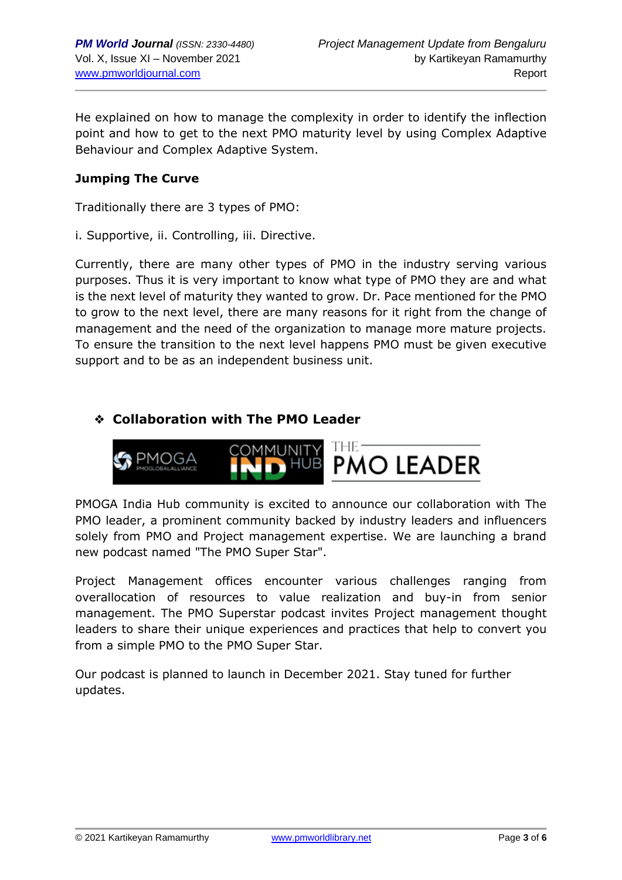He explained on how to manage the complexity in order to identify the inflection point and how to get to the next PMO maturity level by using Complex Adaptive Behaviour and Complex Adaptive System.

#### **Jumping The Curve**

Traditionally there are 3 types of PMO:

i. Supportive, ii. Controlling, iii. Directive.

Currently, there are many other types of PMO in the industry serving various purposes. Thus it is very important to know what type of PMO they are and what is the next level of maturity they wanted to grow. Dr. Pace mentioned for the PMO to grow to the next level, there are many reasons for it right from the change of management and the need of the organization to manage more mature projects. To ensure the transition to the next level happens PMO must be given executive support and to be as an independent business unit.

## ❖ **Collaboration with The PMO Leader**



PMOGA India Hub community is excited to announce our collaboration with The PMO leader, a prominent community backed by industry leaders and influencers solely from PMO and Project management expertise. We are launching a brand new podcast named "The PMO Super Star".

Project Management offices encounter various challenges ranging from overallocation of resources to value realization and buy-in from senior management. The PMO Superstar podcast invites Project management thought leaders to share their unique experiences and practices that help to convert you from a simple PMO to the PMO Super Star.

Our podcast is planned to launch in December 2021. Stay tuned for further updates.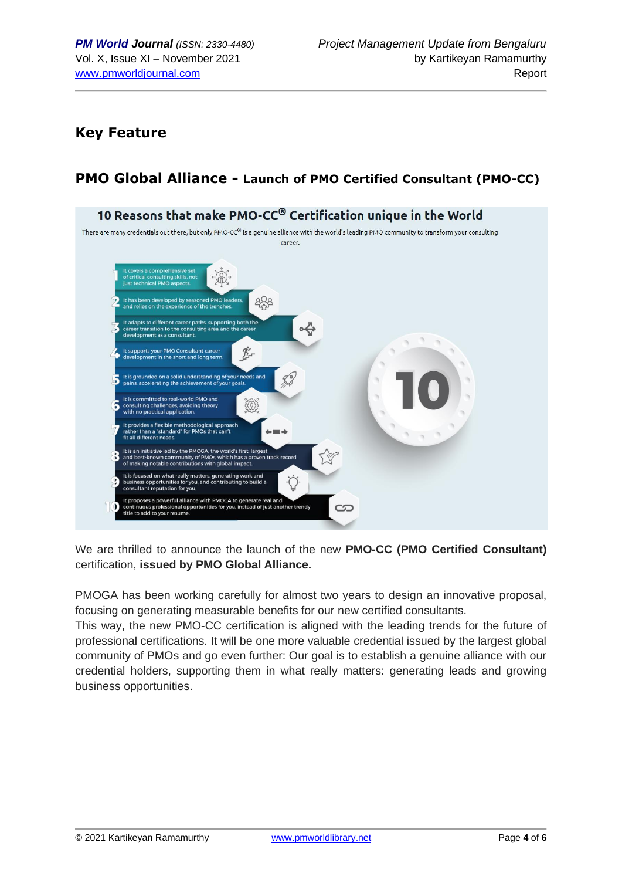## **Key Feature**

## **PMO Global Alliance - Launch of PMO Certified Consultant (PMO-CC)**



We are thrilled to announce the launch of the new **PMO-CC (PMO Certified Consultant)** certification, **issued by PMO Global Alliance.**

PMOGA has been working carefully for almost two years to design an innovative proposal, focusing on generating measurable benefits for our new certified consultants.

This way, the new PMO-CC certification is aligned with the leading trends for the future of professional certifications. It will be one more valuable credential issued by the largest global community of PMOs and go even further: Our goal is to establish a genuine alliance with our credential holders, supporting them in what really matters: generating leads and growing business opportunities.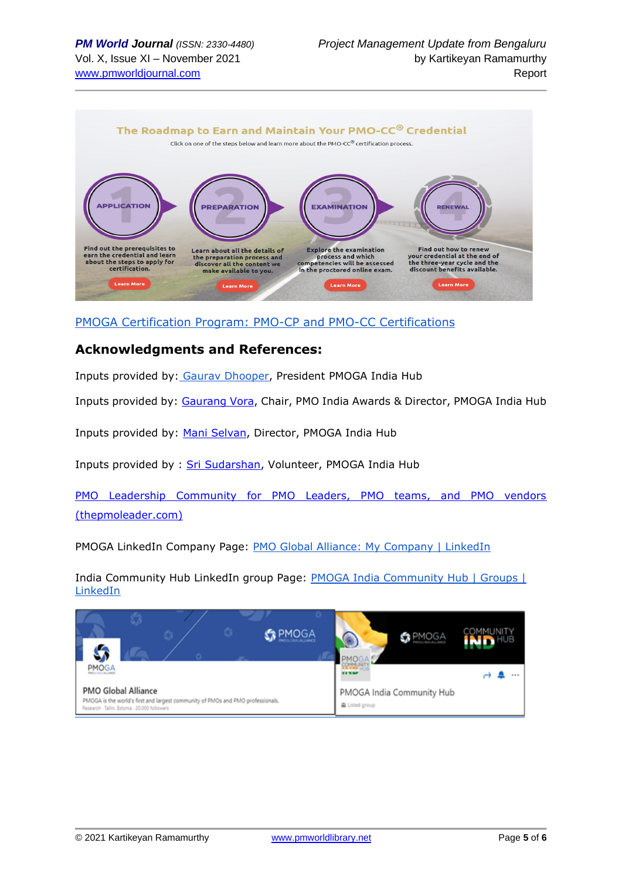

[PMOGA Certification Program: PMO-CP and PMO-CC Certifications](https://www.pmoga.world/certification)

#### **Acknowledgments and References:**

Inputs provided by: [Gaurav Dhooper,](https://www.linkedin.com/in/gaurav-dhooper-pal-i%C2%AE-pmi-acp%C2%AE-safe4%C2%AE-csm%C2%AE-lss-gb-b871a5a/) President PMOGA India Hub

Inputs provided by: [Gaurang Vora,](https://www.linkedin.com/in/gaurang-vora-a0255a1b/) Chair, PMO India Awards & Director, PMOGA India Hub

Inputs provided by: [Mani Selvan,](https://www.linkedin.com/in/maniselvanpml/) Director, PMOGA India Hub

Inputs provided by : [Sri Sudarshan,](https://www.linkedin.com/in/srisudharshanm/) Volunteer, PMOGA India Hub

[PMO Leadership Community for PMO Leaders, PMO teams, and PMO vendors](https://www.thepmoleader.com/)  [\(thepmoleader.com\)](https://www.thepmoleader.com/)

PMOGA LinkedIn Company Page: [PMO Global Alliance: My Company | LinkedIn](https://www.linkedin.com/company/pmoga/mycompany/)

India Community Hub LinkedIn group Page: **PMOGA India Community Hub | Groups |** [LinkedIn](https://www.linkedin.com/groups/13985237/)